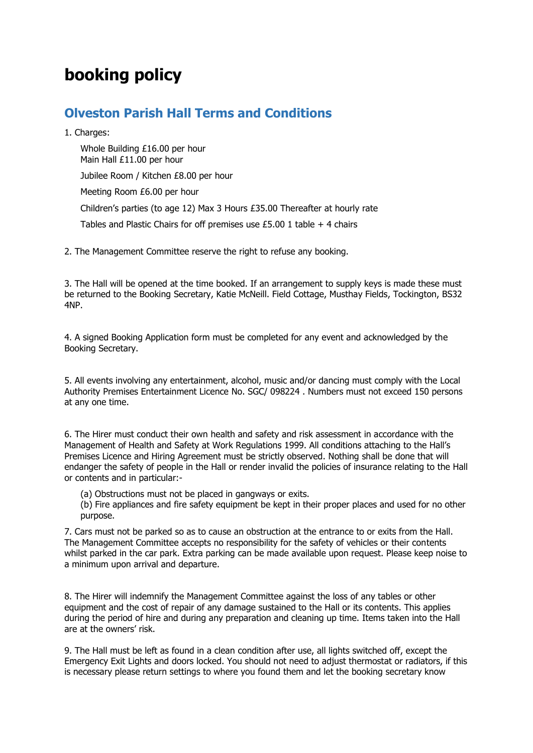## **booking policy**

## **Olveston Parish Hall Terms and Conditions**

1. Charges:

Whole Building £16.00 per hour Main Hall £11.00 per hour Jubilee Room / Kitchen £8.00 per hour Meeting Room £6.00 per hour Children's parties (to age 12) Max 3 Hours £35.00 Thereafter at hourly rate Tables and Plastic Chairs for off premises use £5.00 1 table + 4 chairs

2. The Management Committee reserve the right to refuse any booking.

3. The Hall will be opened at the time booked. If an arrangement to supply keys is made these must be returned to the Booking Secretary, Katie McNeill. Field Cottage, Musthay Fields, Tockington, BS32 4NP.

4. A signed Booking Application form must be completed for any event and acknowledged by the Booking Secretary.

5. All events involving any entertainment, alcohol, music and/or dancing must comply with the Local Authority Premises Entertainment Licence No. SGC/ 098224 . Numbers must not exceed 150 persons at any one time.

6. The Hirer must conduct their own health and safety and risk assessment in accordance with the Management of Health and Safety at Work Regulations 1999. All conditions attaching to the Hall's Premises Licence and Hiring Agreement must be strictly observed. Nothing shall be done that will endanger the safety of people in the Hall or render invalid the policies of insurance relating to the Hall or contents and in particular:-

(a) Obstructions must not be placed in gangways or exits.

(b) Fire appliances and fire safety equipment be kept in their proper places and used for no other purpose.

7. Cars must not be parked so as to cause an obstruction at the entrance to or exits from the Hall. The Management Committee accepts no responsibility for the safety of vehicles or their contents whilst parked in the car park. Extra parking can be made available upon request. Please keep noise to a minimum upon arrival and departure.

8. The Hirer will indemnify the Management Committee against the loss of any tables or other equipment and the cost of repair of any damage sustained to the Hall or its contents. This applies during the period of hire and during any preparation and cleaning up time. Items taken into the Hall are at the owners' risk.

9. The Hall must be left as found in a clean condition after use, all lights switched off, except the Emergency Exit Lights and doors locked. You should not need to adjust thermostat or radiators, if this is necessary please return settings to where you found them and let the booking secretary know